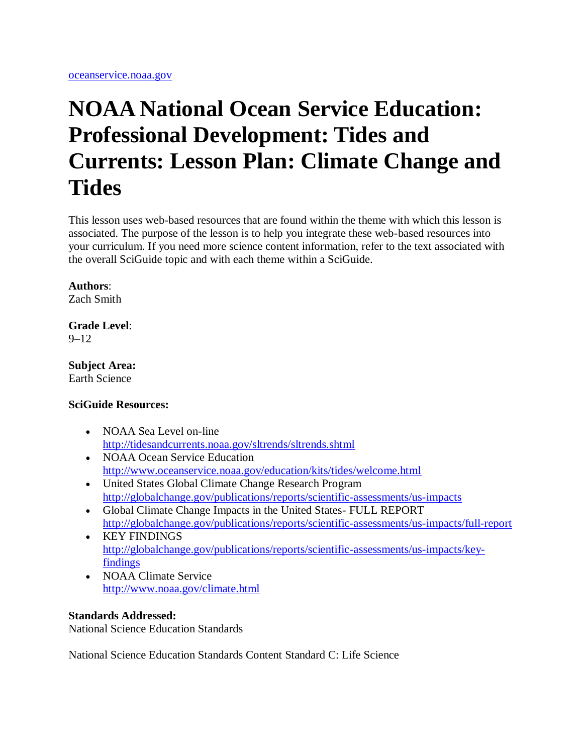# **NOAA National Ocean Service Education: Professional Development: Tides and Currents: Lesson Plan: Climate Change and Tides**

This lesson uses web-based resources that are found within the theme with which this lesson is associated. The purpose of the lesson is to help you integrate these web-based resources into your curriculum. If you need more science content information, refer to the text associated with the overall SciGuide topic and with each theme within a SciGuide.

## **Authors**:

Zach Smith

#### **Grade Level**:  $9 - 12$

**Subject Area:** Earth Science

### **SciGuide Resources:**

- NOAA Sea Level on-line <http://tidesandcurrents.noaa.gov/sltrends/sltrends.shtml>
- NOAA Ocean Service Education <http://www.oceanservice.noaa.gov/education/kits/tides/welcome.html>
- United States Global Climate Change Research Program <http://globalchange.gov/publications/reports/scientific-assessments/us-impacts>
- Global Climate Change Impacts in the United States- FULL REPORT <http://globalchange.gov/publications/reports/scientific-assessments/us-impacts/full-report>
- KEY FINDINGS [http://globalchange.gov/publications/reports/scientific-assessments/us-impacts/key](http://globalchange.gov/publications/reports/scientific-assessments/us-impacts/key-findings)[findings](http://globalchange.gov/publications/reports/scientific-assessments/us-impacts/key-findings)
- NOAA Climate Service <http://www.noaa.gov/climate.html>

## **Standards Addressed:**

National Science Education Standards

National Science Education Standards Content Standard C: Life Science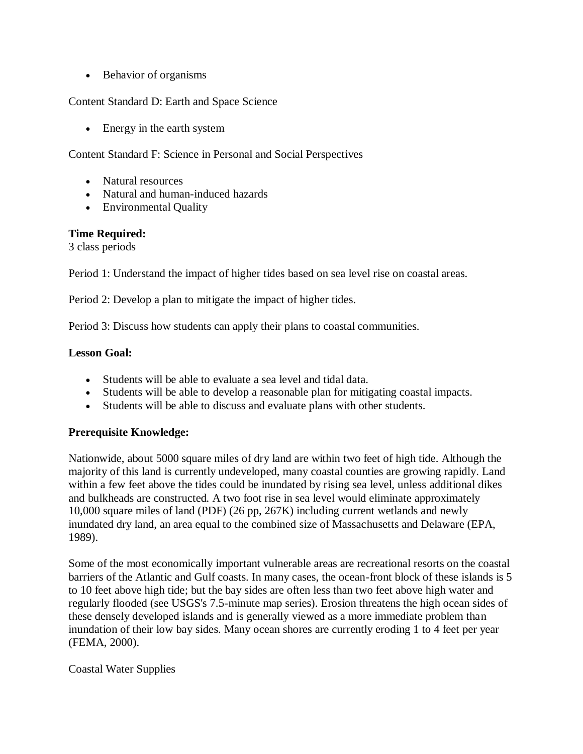• Behavior of organisms

Content Standard D: Earth and Space Science

• Energy in the earth system

Content Standard F: Science in Personal and Social Perspectives

- Natural resources
- Natural and human-induced hazards
- Environmental Quality

### **Time Required:**

3 class periods

Period 1: Understand the impact of higher tides based on sea level rise on coastal areas.

Period 2: Develop a plan to mitigate the impact of higher tides.

Period 3: Discuss how students can apply their plans to coastal communities.

## **Lesson Goal:**

- Students will be able to evaluate a sea level and tidal data.
- Students will be able to develop a reasonable plan for mitigating coastal impacts.
- Students will be able to discuss and evaluate plans with other students.

## **Prerequisite Knowledge:**

Nationwide, about 5000 square miles of dry land are within two feet of high tide. Although the majority of this land is currently undeveloped, many coastal counties are growing rapidly. Land within a few feet above the tides could be inundated by rising sea level, unless additional dikes and bulkheads are constructed. A two foot rise in sea level would eliminate approximately 10,000 square miles of land (PDF) (26 pp, 267K) including current wetlands and newly inundated dry land, an area equal to the combined size of Massachusetts and Delaware (EPA, 1989).

Some of the most economically important vulnerable areas are recreational resorts on the coastal barriers of the Atlantic and Gulf coasts. In many cases, the ocean-front block of these islands is 5 to 10 feet above high tide; but the bay sides are often less than two feet above high water and regularly flooded (see USGS's 7.5-minute map series). Erosion threatens the high ocean sides of these densely developed islands and is generally viewed as a more immediate problem than inundation of their low bay sides. Many ocean shores are currently eroding 1 to 4 feet per year (FEMA, 2000).

### Coastal Water Supplies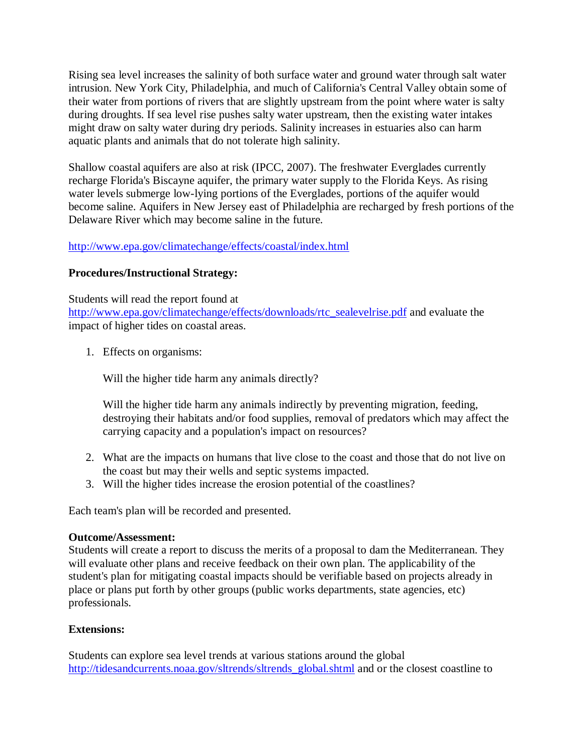Rising sea level increases the salinity of both surface water and ground water through salt water intrusion. New York City, Philadelphia, and much of California's Central Valley obtain some of their water from portions of rivers that are slightly upstream from the point where water is salty during droughts. If sea level rise pushes salty water upstream, then the existing water intakes might draw on salty water during dry periods. Salinity increases in estuaries also can harm aquatic plants and animals that do not tolerate high salinity.

Shallow coastal aquifers are also at risk (IPCC, 2007). The freshwater Everglades currently recharge Florida's Biscayne aquifer, the primary water supply to the Florida Keys. As rising water levels submerge low-lying portions of the Everglades, portions of the aquifer would become saline. Aquifers in New Jersey east of Philadelphia are recharged by fresh portions of the Delaware River which may become saline in the future.

## <http://www.epa.gov/climatechange/effects/coastal/index.html>

## **Procedures/Instructional Strategy:**

Students will read the report found at [http://www.epa.gov/climatechange/effects/downloads/rtc\\_sealevelrise.pdf](http://www.epa.gov/climatechange/effects/downloads/rtc_sealevelrise.pdf) and evaluate the impact of higher tides on coastal areas.

1. Effects on organisms:

Will the higher tide harm any animals directly?

Will the higher tide harm any animals indirectly by preventing migration, feeding, destroying their habitats and/or food supplies, removal of predators which may affect the carrying capacity and a population's impact on resources?

- 2. What are the impacts on humans that live close to the coast and those that do not live on the coast but may their wells and septic systems impacted.
- 3. Will the higher tides increase the erosion potential of the coastlines?

Each team's plan will be recorded and presented.

### **Outcome/Assessment:**

Students will create a report to discuss the merits of a proposal to dam the Mediterranean. They will evaluate other plans and receive feedback on their own plan. The applicability of the student's plan for mitigating coastal impacts should be verifiable based on projects already in place or plans put forth by other groups (public works departments, state agencies, etc) professionals.

### **Extensions:**

Students can explore sea level trends at various stations around the global [http://tidesandcurrents.noaa.gov/sltrends/sltrends\\_global.shtml](http://tidesandcurrents.noaa.gov/sltrends/sltrends_global.shtml) and or the closest coastline to